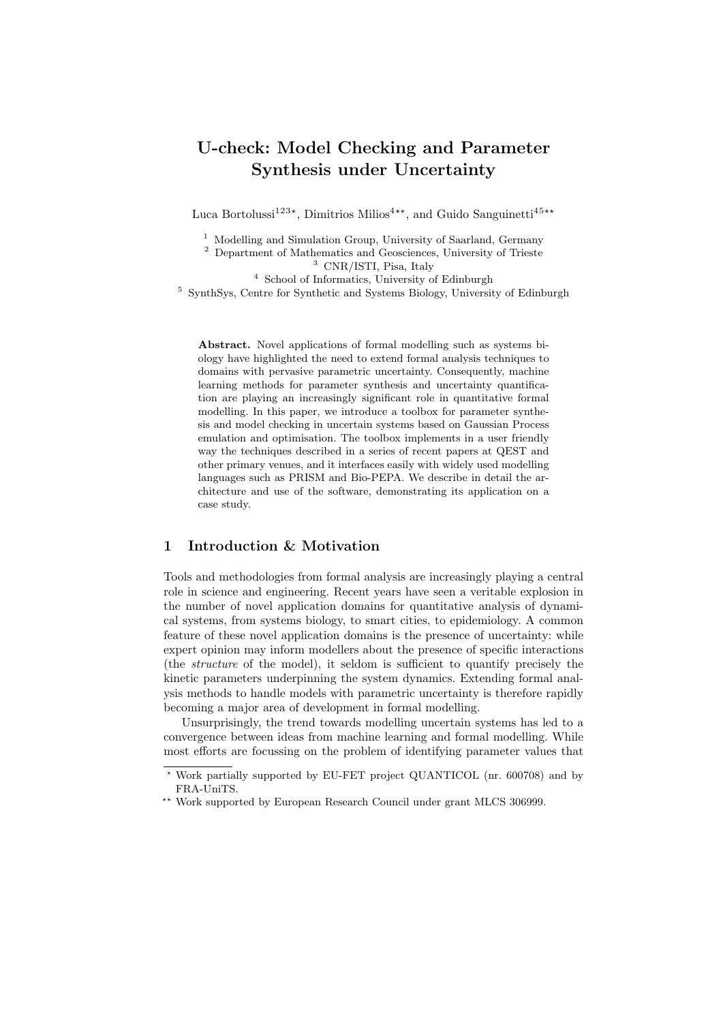# U-check: Model Checking and Parameter Synthesis under Uncertainty

Luca Bortolussi<sup>123\*</sup>, Dimitrios Milios<sup>4\*\*</sup>, and Guido Sanguinetti<sup>45\*\*</sup>

<sup>1</sup> Modelling and Simulation Group, University of Saarland, Germany

<sup>2</sup> Department of Mathematics and Geosciences, University of Trieste

<sup>3</sup> CNR/ISTI, Pisa, Italy

<sup>4</sup> School of Informatics, University of Edinburgh

<sup>5</sup> SynthSys, Centre for Synthetic and Systems Biology, University of Edinburgh

Abstract. Novel applications of formal modelling such as systems biology have highlighted the need to extend formal analysis techniques to domains with pervasive parametric uncertainty. Consequently, machine learning methods for parameter synthesis and uncertainty quantification are playing an increasingly significant role in quantitative formal modelling. In this paper, we introduce a toolbox for parameter synthesis and model checking in uncertain systems based on Gaussian Process emulation and optimisation. The toolbox implements in a user friendly way the techniques described in a series of recent papers at QEST and other primary venues, and it interfaces easily with widely used modelling languages such as PRISM and Bio-PEPA. We describe in detail the architecture and use of the software, demonstrating its application on a case study.

# 1 Introduction & Motivation

Tools and methodologies from formal analysis are increasingly playing a central role in science and engineering. Recent years have seen a veritable explosion in the number of novel application domains for quantitative analysis of dynamical systems, from systems biology, to smart cities, to epidemiology. A common feature of these novel application domains is the presence of uncertainty: while expert opinion may inform modellers about the presence of specific interactions (the *structure* of the model), it seldom is sufficient to quantify precisely the kinetic parameters underpinning the system dynamics. Extending formal analysis methods to handle models with parametric uncertainty is therefore rapidly becoming a major area of development in formal modelling.

Unsurprisingly, the trend towards modelling uncertain systems has led to a convergence between ideas from machine learning and formal modelling. While most efforts are focussing on the problem of identifying parameter values that

<sup>?</sup> Work partially supported by EU-FET project QUANTICOL (nr. 600708) and by FRA-UniTS.

<sup>\*\*</sup> Work supported by European Research Council under grant MLCS 306999.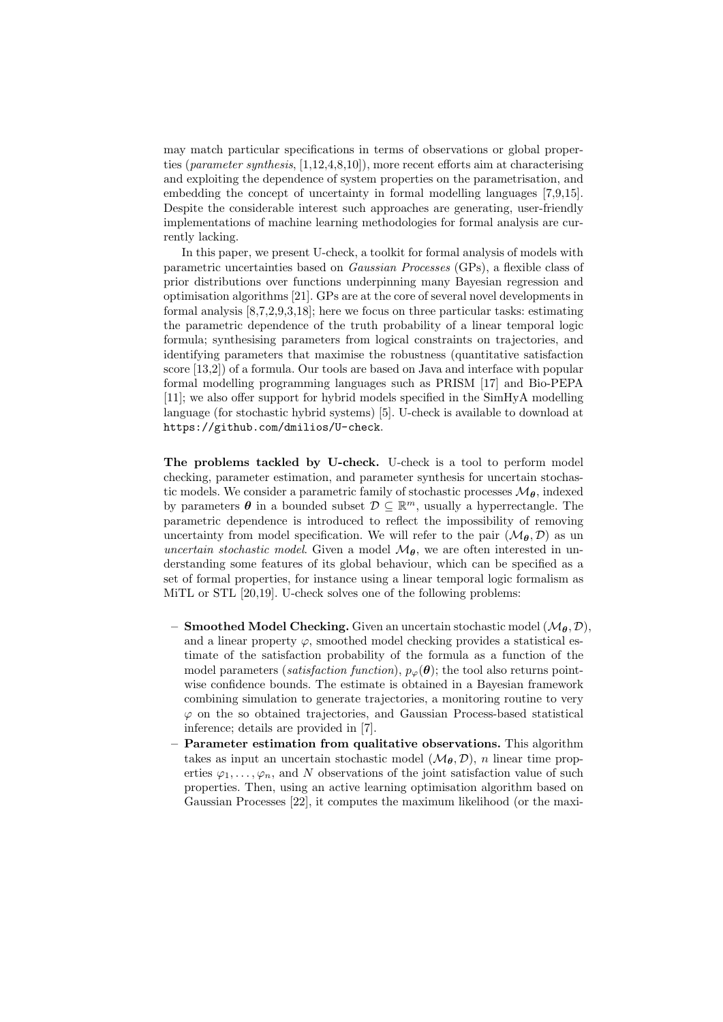may match particular specifications in terms of observations or global properties (*parameter synthesis*, [\[1](#page-15-0)[,12,](#page-15-1)[4,](#page-15-2)[8,](#page-15-3)[10\]](#page-15-4)), more recent efforts aim at characterising and exploiting the dependence of system properties on the parametrisation, and embedding the concept of uncertainty in formal modelling languages [\[7,](#page-15-5)[9](#page-15-6)[,15\]](#page-15-7). Despite the considerable interest such approaches are generating, user-friendly implementations of machine learning methodologies for formal analysis are currently lacking.

In this paper, we present U-check, a toolkit for formal analysis of models with parametric uncertainties based on *Gaussian Processes* (GPs), a flexible class of prior distributions over functions underpinning many Bayesian regression and optimisation algorithms [\[21\]](#page-15-8). GPs are at the core of several novel developments in formal analysis [\[8,](#page-15-3)[7](#page-15-5)[,2,](#page-15-9)[9,](#page-15-6)[3](#page-15-10)[,18\]](#page-15-11); here we focus on three particular tasks: estimating the parametric dependence of the truth probability of a linear temporal logic formula; synthesising parameters from logical constraints on trajectories, and identifying parameters that maximise the robustness (quantitative satisfaction score [\[13,](#page-15-12)[2\]](#page-15-9)) of a formula. Our tools are based on Java and interface with popular formal modelling programming languages such as PRISM [\[17\]](#page-15-13) and Bio-PEPA  $[11]$ ; we also offer support for hybrid models specified in the SimHyA modelling language (for stochastic hybrid systems) [\[5\]](#page-15-15). U-check is available to download at <https://github.com/dmilios/U-check>.

The problems tackled by U-check. U-check is a tool to perform model checking, parameter estimation, and parameter synthesis for uncertain stochastic models. We consider a parametric family of stochastic processes  $\mathcal{M}_{\theta}$ , indexed by parameters  $\theta$  in a bounded subset  $\mathcal{D} \subseteq \mathbb{R}^m$ , usually a hyperrectangle. The parametric dependence is introduced to reflect the impossibility of removing uncertainty from model specification. We will refer to the pair  $(\mathcal{M}_{\theta}, \mathcal{D})$  as un *uncertain stochastic model*. Given a model  $\mathcal{M}_{\theta}$ , we are often interested in understanding some features of its global behaviour, which can be specified as a set of formal properties, for instance using a linear temporal logic formalism as MiTL or STL [\[20](#page-15-16)[,19\]](#page-15-17). U-check solves one of the following problems:

- **Smoothed Model Checking.** Given an uncertain stochastic model  $(M_{\theta}, \mathcal{D})$ , and a linear property  $\varphi$ , smoothed model checking provides a statistical estimate of the satisfaction probability of the formula as a function of the model parameters (*satisfaction function*),  $p_{\varphi}(\theta)$ ; the tool also returns pointwise confidence bounds. The estimate is obtained in a Bayesian framework combining simulation to generate trajectories, a monitoring routine to very  $\varphi$  on the so obtained trajectories, and Gaussian Process-based statistical inference; details are provided in [\[7\]](#page-15-5).
- Parameter estimation from qualitative observations. This algorithm takes as input an uncertain stochastic model  $(\mathcal{M}_{\theta}, \mathcal{D}), n$  linear time properties  $\varphi_1, \ldots, \varphi_n$ , and N observations of the joint satisfaction value of such properties. Then, using an active learning optimisation algorithm based on Gaussian Processes [\[22\]](#page-15-18), it computes the maximum likelihood (or the maxi-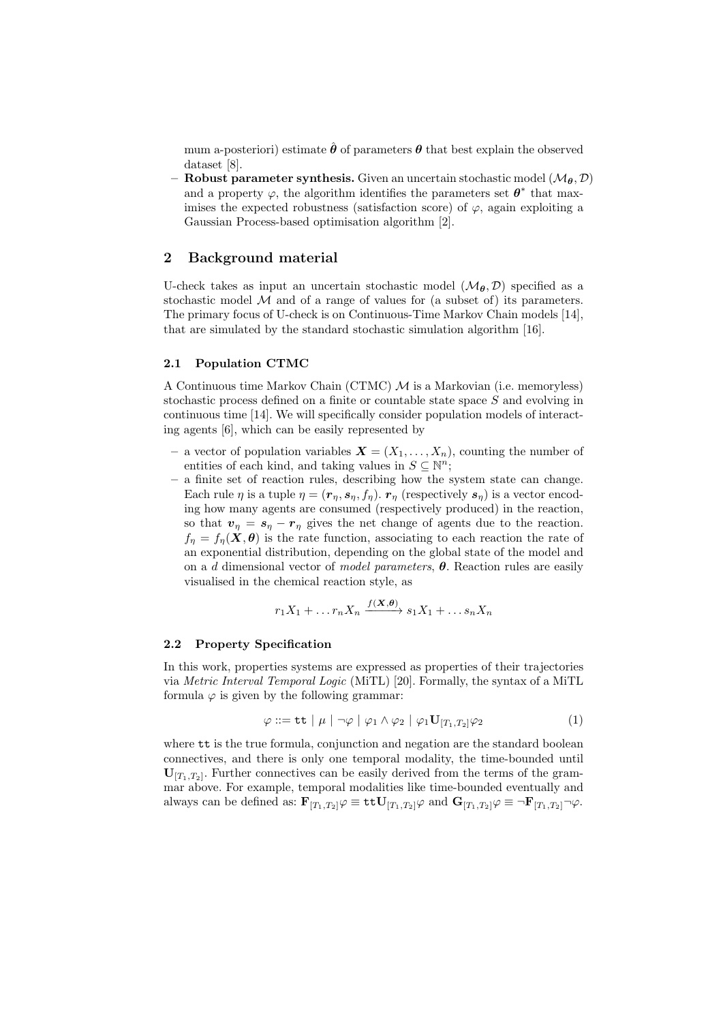mum a-posteriori) estimate  $\hat{\theta}$  of parameters  $\theta$  that best explain the observed dataset [\[8\]](#page-15-3).

**Robust parameter synthesis.** Given an uncertain stochastic model  $(\mathcal{M}_{\theta}, \mathcal{D})$ and a property  $\varphi$ , the algorithm identifies the parameters set  $\theta^*$  that maximises the expected robustness (satisfaction score) of  $\varphi$ , again exploiting a Gaussian Process-based optimisation algorithm [\[2\]](#page-15-9).

# 2 Background material

U-check takes as input an uncertain stochastic model  $(\mathcal{M}_{\theta}, \mathcal{D})$  specified as a stochastic model  $M$  and of a range of values for (a subset of) its parameters. The primary focus of U-check is on Continuous-Time Markov Chain models [\[14\]](#page-15-19), that are simulated by the standard stochastic simulation algorithm [\[16\]](#page-15-20).

### 2.1 Population CTMC

A Continuous time Markov Chain (CTMC) *M* is a Markovian (i.e. memoryless) stochastic process defined on a finite or countable state space *S* and evolving in continuous time [\[14\]](#page-15-19). We will specifically consider population models of interacting agents [\[6\]](#page-15-21), which can be easily represented by

- a vector of population variables  $\mathbf{X} = (X_1, \ldots, X_n)$ , counting the number of entities of each kind, and taking values in  $S \subseteq \mathbb{N}^n$ ;
- a finite set of reaction rules, describing how the system state can change. Each rule  $\eta$  is a tuple  $\eta = (\mathbf{r}_{\eta}, \mathbf{s}_{\eta}, f_{\eta})$ .  $\mathbf{r}_{\eta}$  (respectively  $\mathbf{s}_{\eta}$ ) is a vector encoding how many agents are consumed (respectively produced) in the reaction, so that  $v_{\eta} = s_{\eta} - r_{\eta}$  gives the net change of agents due to the reaction.  $f_n = f_n(\mathbf{X}, \boldsymbol{\theta})$  is the rate function, associating to each reaction the rate of an exponential distribution, depending on the global state of the model and on a *d* dimensional vector of *model parameters*,  $\theta$ . Reaction rules are easily visualised in the chemical reaction style, as

$$
r_1X_1 + \dots + r_nX_n \xrightarrow{f(\mathbf{X}, \boldsymbol{\theta})} s_1X_1 + \dots s_nX_n
$$

### 2.2 Property Specification

In this work, properties systems are expressed as properties of their trajectories via *Metric Interval Temporal Logic* (MiTL) [\[20\]](#page-15-16). Formally, the syntax of a MiTL formula  $\varphi$  is given by the following grammar:

$$
\varphi ::= \mathtt{tt} \mid \mu \mid \neg \varphi \mid \varphi_1 \land \varphi_2 \mid \varphi_1 \mathbf{U}_{[T_1, T_2]} \varphi_2 \tag{1}
$$

where  $tt$  is the true formula, conjunction and negation are the standard boolean connectives, and there is only one temporal modality, the time-bounded until  $U_{[T_1,T_2]}$ . Further connectives can be easily derived from the terms of the grammar above. For example, temporal modalities like time-bounded eventually and always can be defined as:  $\mathbf{F}_{[T_1,T_2]}\varphi \equiv \mathtt{tt}\mathbf{U}_{[T_1,T_2]}\varphi$  and  $\mathbf{G}_{[T_1,T_2]}\varphi \equiv \neg \mathbf{F}_{[T_1,T_2]}\neg \varphi$ .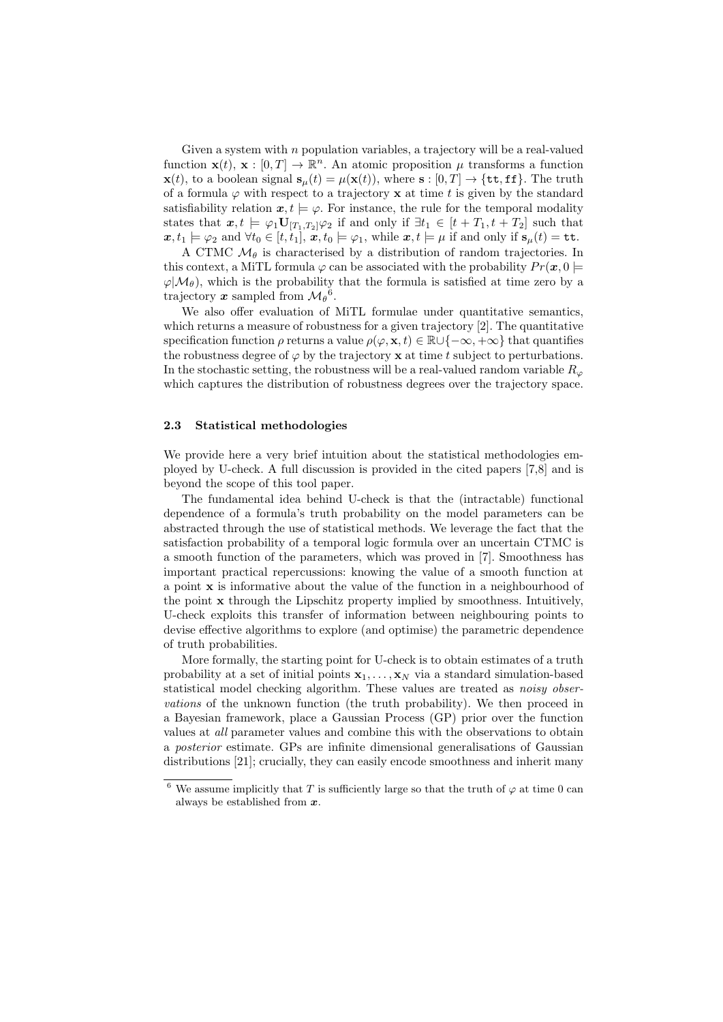Given a system with *n* population variables, a trajectory will be a real-valued function  $\mathbf{x}(t), \mathbf{x} : [0, T] \to \mathbb{R}^n$ . An atomic proposition  $\mu$  transforms a function  $\mathbf{x}(t)$ , to a boolean signal  $\mathbf{s}_{\mu}(t) = \mu(\mathbf{x}(t))$ , where  $\mathbf{s} : [0, T] \to \{\texttt{tt}, \texttt{ff}\}.$  The truth of a formula  $\varphi$  with respect to a trajectory **x** at time t is given by the standard satisfiability relation  $x, t \models \varphi$ . For instance, the rule for the temporal modality states that  $x, t \models \varphi_1 \mathbf{U}_{[T_1, T_2]} \varphi_2$  if and only if  $\exists t_1 \in [t + T_1, t + T_2]$  such that  $x, t_1 \models \varphi_2$  and  $\forall t_0 \in [t, t_1],$   $x, t_0 \models \varphi_1$ , while  $x, t \models \mu$  if and only if  $s_\mu(t) = \mathtt{tt}$ .

A CTMC  $\mathcal{M}_{\theta}$  is characterised by a distribution of random trajectories. In this context, a MiTL formula  $\varphi$  can be associated with the probability  $Pr(\mathbf{x}, 0)$  $\varphi$ / $\mathcal{M}_{\theta}$ ), which is the probability that the formula is satisfied at time zero by a trajectory  $x$  sampled from  $\mathcal{M}_{\theta}{}^{6}$  $\mathcal{M}_{\theta}{}^{6}$  $\mathcal{M}_{\theta}{}^{6}$ .

We also offer evaluation of MiTL formulae under quantitative semantics, which returns a measure of robustness for a given trajectory [\[2\]](#page-15-9). The quantitative specification function  $\rho$  returns a value  $\rho(\varphi, \mathbf{x}, t) \in \mathbb{R} \cup \{-\infty, +\infty\}$  that quantifies the robustness degree of  $\varphi$  by the trajectory **x** at time *t* subject to perturbations. In the stochastic setting, the robustness will be a real-valued random variable  $R_{\varphi}$ which captures the distribution of robustness degrees over the trajectory space.

### 2.3 Statistical methodologies

We provide here a very brief intuition about the statistical methodologies employed by U-check. A full discussion is provided in the cited papers [\[7](#page-15-5)[,8\]](#page-15-3) and is beyond the scope of this tool paper.

The fundamental idea behind U-check is that the (intractable) functional dependence of a formula's truth probability on the model parameters can be abstracted through the use of statistical methods. We leverage the fact that the satisfaction probability of a temporal logic formula over an uncertain CTMC is a smooth function of the parameters, which was proved in [\[7\]](#page-15-5). Smoothness has important practical repercussions: knowing the value of a smooth function at a point x is informative about the value of the function in a neighbourhood of the point x through the Lipschitz property implied by smoothness. Intuitively, U-check exploits this transfer of information between neighbouring points to devise effective algorithms to explore (and optimise) the parametric dependence of truth probabilities.

More formally, the starting point for U-check is to obtain estimates of a truth probability at a set of initial points  $x_1, \ldots, x_N$  via a standard simulation-based statistical model checking algorithm. These values are treated as *noisy observations* of the unknown function (the truth probability). We then proceed in a Bayesian framework, place a Gaussian Process (GP) prior over the function values at *all* parameter values and combine this with the observations to obtain a *posterior* estimate. GPs are infinite dimensional generalisations of Gaussian distributions [\[21\]](#page-15-8); crucially, they can easily encode smoothness and inherit many

<span id="page-3-0"></span><sup>&</sup>lt;sup>6</sup> We assume implicitly that *T* is sufficiently large so that the truth of  $\varphi$  at time 0 can always be established from *x*.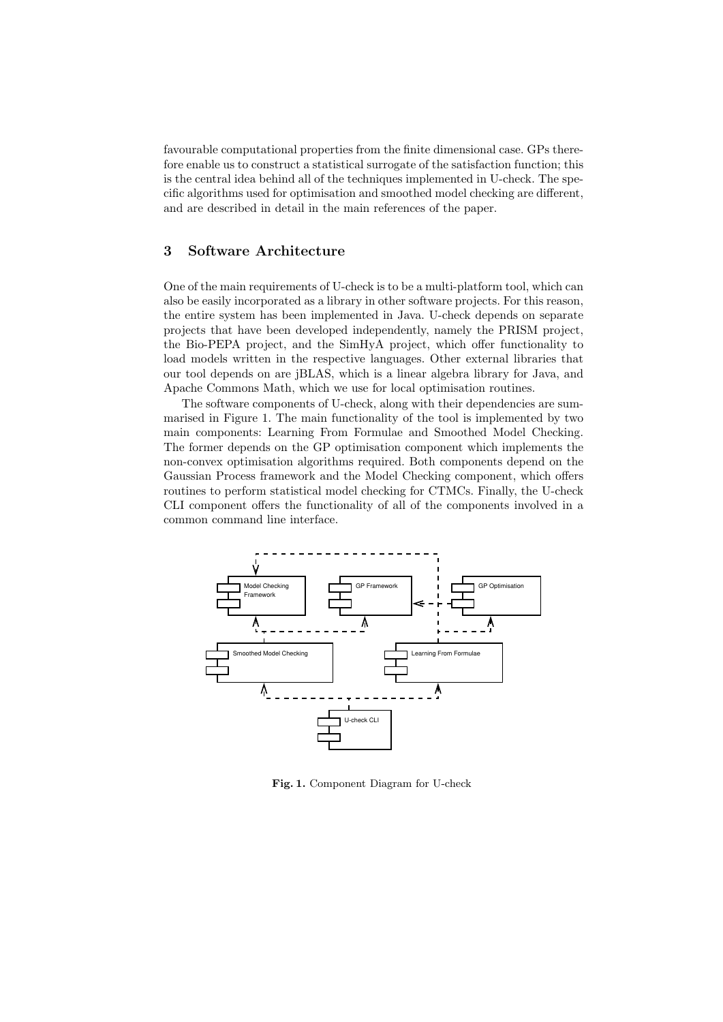favourable computational properties from the finite dimensional case. GPs therefore enable us to construct a statistical surrogate of the satisfaction function; this is the central idea behind all of the techniques implemented in U-check. The specific algorithms used for optimisation and smoothed model checking are different, and are described in detail in the main references of the paper.

### 3 Software Architecture

One of the main requirements of U-check is to be a multi-platform tool, which can also be easily incorporated as a library in other software projects. For this reason, the entire system has been implemented in Java. U-check depends on separate projects that have been developed independently, namely the PRISM project, the Bio-PEPA project, and the SimHyA project, which offer functionality to load models written in the respective languages. Other external libraries that our tool depends on are jBLAS, which is a linear algebra library for Java, and Apache Commons Math, which we use for local optimisation routines.

The software components of U-check, along with their dependencies are summarised in Figure [1.](#page-4-0) The main functionality of the tool is implemented by two main components: Learning From Formulae and Smoothed Model Checking. The former depends on the GP optimisation component which implements the non-convex optimisation algorithms required. Both components depend on the Gaussian Process framework and the Model Checking component, which offers routines to perform statistical model checking for CTMCs. Finally, the U-check CLI component offers the functionality of all of the components involved in a common command line interface.



<span id="page-4-0"></span>Fig. 1. Component Diagram for U-check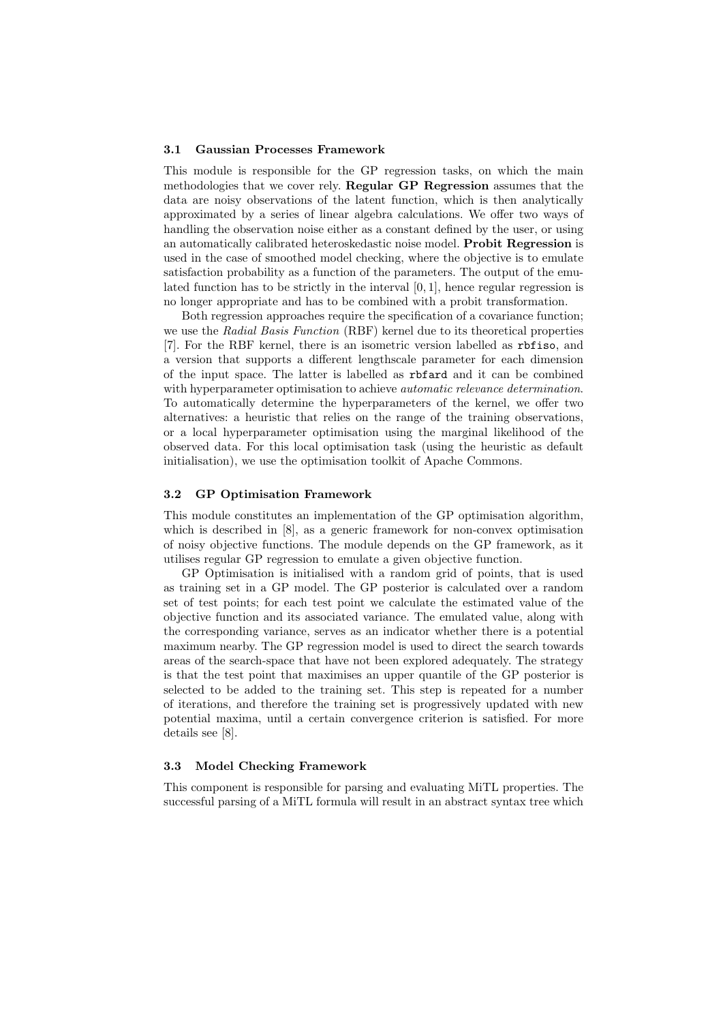### 3.1 Gaussian Processes Framework

This module is responsible for the GP regression tasks, on which the main methodologies that we cover rely. Regular GP Regression assumes that the data are noisy observations of the latent function, which is then analytically approximated by a series of linear algebra calculations. We offer two ways of handling the observation noise either as a constant defined by the user, or using an automatically calibrated heteroskedastic noise model. Probit Regression is used in the case of smoothed model checking, where the objective is to emulate satisfaction probability as a function of the parameters. The output of the emulated function has to be strictly in the interval [0*,* 1], hence regular regression is no longer appropriate and has to be combined with a probit transformation.

Both regression approaches require the specification of a covariance function; we use the *Radial Basis Function* (RBF) kernel due to its theoretical properties [\[7\]](#page-15-5). For the RBF kernel, there is an isometric version labelled as rbfiso, and a version that supports a different lengthscale parameter for each dimension of the input space. The latter is labelled as rbfard and it can be combined with hyperparameter optimisation to achieve *automatic relevance determination*. To automatically determine the hyperparameters of the kernel, we offer two alternatives: a heuristic that relies on the range of the training observations, or a local hyperparameter optimisation using the marginal likelihood of the observed data. For this local optimisation task (using the heuristic as default initialisation), we use the optimisation toolkit of Apache Commons.

#### 3.2 GP Optimisation Framework

This module constitutes an implementation of the GP optimisation algorithm, which is described in [\[8\]](#page-15-3), as a generic framework for non-convex optimisation of noisy objective functions. The module depends on the GP framework, as it utilises regular GP regression to emulate a given objective function.

GP Optimisation is initialised with a random grid of points, that is used as training set in a GP model. The GP posterior is calculated over a random set of test points; for each test point we calculate the estimated value of the objective function and its associated variance. The emulated value, along with the corresponding variance, serves as an indicator whether there is a potential maximum nearby. The GP regression model is used to direct the search towards areas of the search-space that have not been explored adequately. The strategy is that the test point that maximises an upper quantile of the GP posterior is selected to be added to the training set. This step is repeated for a number of iterations, and therefore the training set is progressively updated with new potential maxima, until a certain convergence criterion is satisfied. For more details see [\[8\]](#page-15-3).

### 3.3 Model Checking Framework

This component is responsible for parsing and evaluating MiTL properties. The successful parsing of a MiTL formula will result in an abstract syntax tree which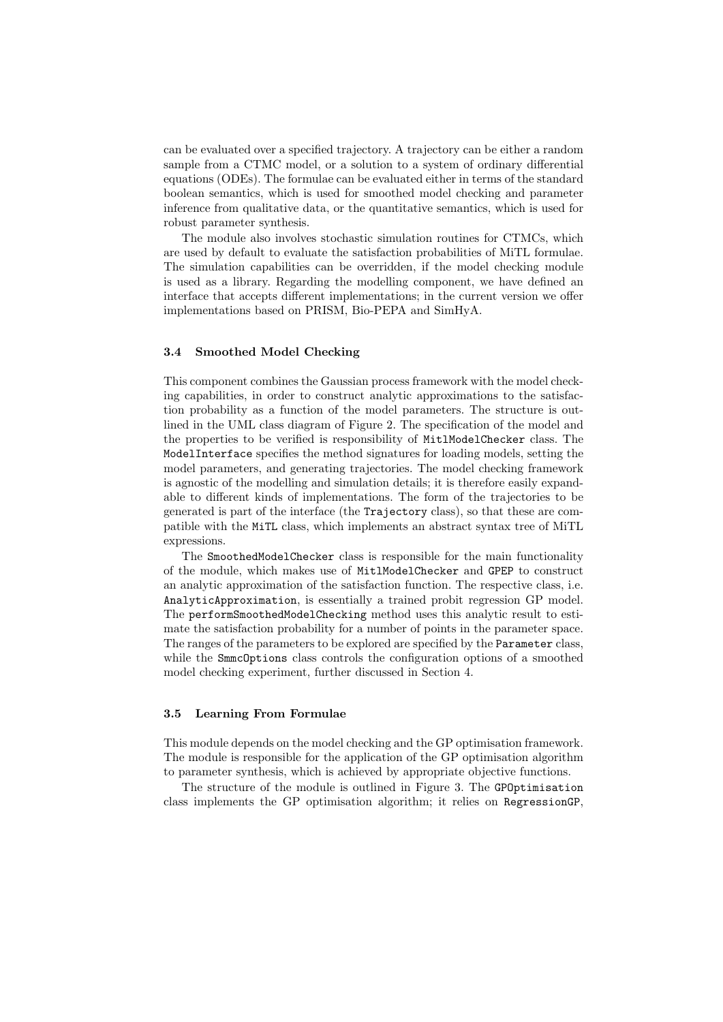can be evaluated over a specified trajectory. A trajectory can be either a random sample from a CTMC model, or a solution to a system of ordinary differential equations (ODEs). The formulae can be evaluated either in terms of the standard boolean semantics, which is used for smoothed model checking and parameter inference from qualitative data, or the quantitative semantics, which is used for robust parameter synthesis.

The module also involves stochastic simulation routines for CTMCs, which are used by default to evaluate the satisfaction probabilities of MiTL formulae. The simulation capabilities can be overridden, if the model checking module is used as a library. Regarding the modelling component, we have defined an interface that accepts different implementations; in the current version we offer implementations based on PRISM, Bio-PEPA and SimHyA.

### <span id="page-6-0"></span>3.4 Smoothed Model Checking

This component combines the Gaussian process framework with the model checking capabilities, in order to construct analytic approximations to the satisfaction probability as a function of the model parameters. The structure is outlined in the UML class diagram of Figure [2.](#page-7-0) The specification of the model and the properties to be verified is responsibility of MitlModelChecker class. The ModelInterface specifies the method signatures for loading models, setting the model parameters, and generating trajectories. The model checking framework is agnostic of the modelling and simulation details; it is therefore easily expandable to different kinds of implementations. The form of the trajectories to be generated is part of the interface (the Trajectory class), so that these are compatible with the MiTL class, which implements an abstract syntax tree of MiTL expressions.

The SmoothedModelChecker class is responsible for the main functionality of the module, which makes use of MitlModelChecker and GPEP to construct an analytic approximation of the satisfaction function. The respective class, i.e. AnalyticApproximation, is essentially a trained probit regression GP model. The performSmoothedModelChecking method uses this analytic result to estimate the satisfaction probability for a number of points in the parameter space. The ranges of the parameters to be explored are specified by the Parameter class, while the **SmmcOptions** class controls the configuration options of a smoothed model checking experiment, further discussed in Section [4.](#page-8-0)

### 3.5 Learning From Formulae

This module depends on the model checking and the GP optimisation framework. The module is responsible for the application of the GP optimisation algorithm to parameter synthesis, which is achieved by appropriate objective functions.

The structure of the module is outlined in Figure [3.](#page-8-1) The GPOptimisation class implements the GP optimisation algorithm; it relies on RegressionGP,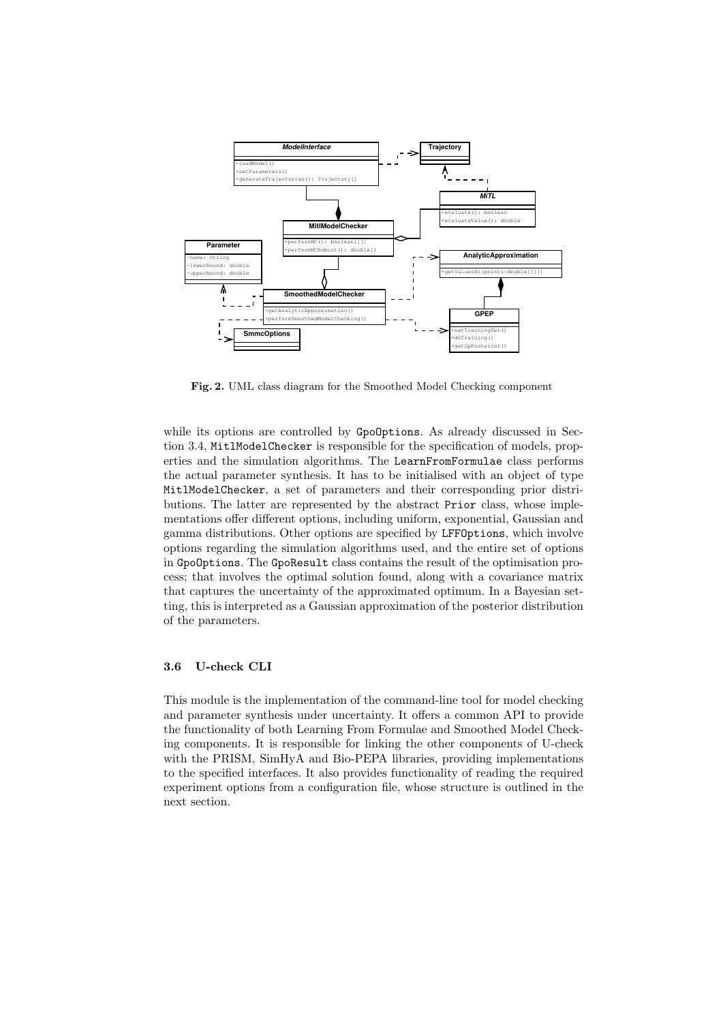

<span id="page-7-0"></span>Fig. 2. UML class diagram for the Smoothed Model Checking component

while its options are controlled by GpoOptions. As already discussed in Section [3.4,](#page-6-0) MitlModelChecker is responsible for the specification of models, properties and the simulation algorithms. The LearnFromFormulae class performs the actual parameter synthesis. It has to be initialised with an object of type MitlModelChecker, a set of parameters and their corresponding prior distributions. The latter are represented by the abstract Prior class, whose implementations offer different options, including uniform, exponential, Gaussian and gamma distributions. Other options are specified by LFFOptions, which involve options regarding the simulation algorithms used, and the entire set of options in GpoOptions. The GpoResult class contains the result of the optimisation process; that involves the optimal solution found, along with a covariance matrix that captures the uncertainty of the approximated optimum. In a Bayesian setting, this is interpreted as a Gaussian approximation of the posterior distribution of the parameters.

### 3.6 U-check CLI

This module is the implementation of the command-line tool for model checking and parameter synthesis under uncertainty. It offers a common API to provide the functionality of both Learning From Formulae and Smoothed Model Checking components. It is responsible for linking the other components of U-check with the PRISM, SimHyA and Bio-PEPA libraries, providing implementations to the specified interfaces. It also provides functionality of reading the required experiment options from a configuration file, whose structure is outlined in the next section.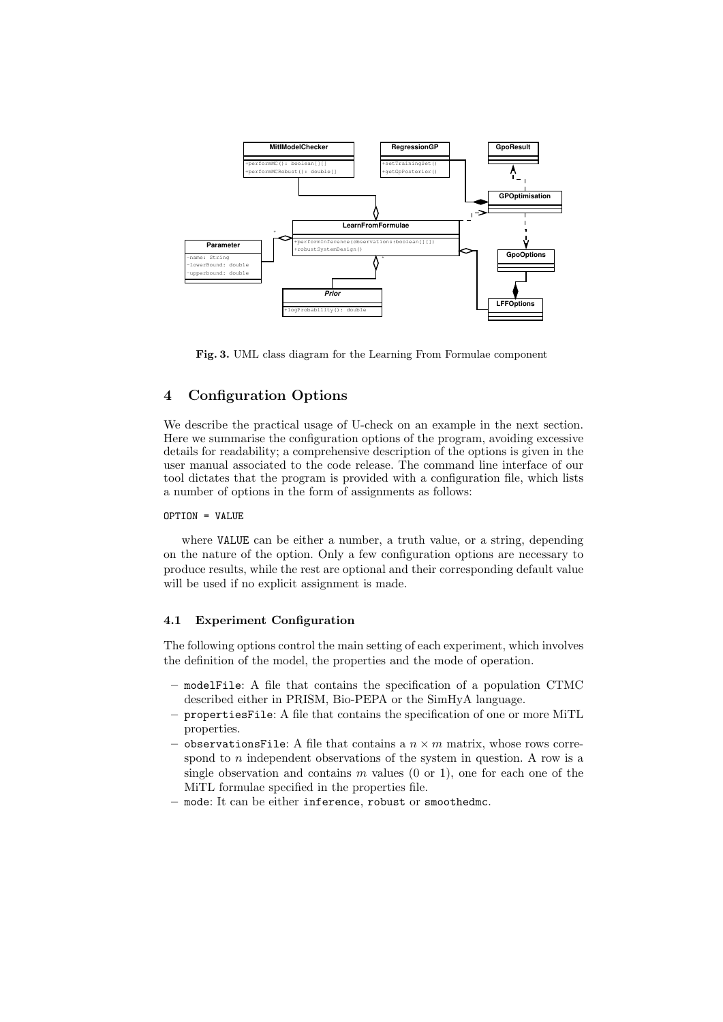

<span id="page-8-1"></span>Fig. 3. UML class diagram for the Learning From Formulae component

# <span id="page-8-0"></span>4 Configuration Options

We describe the practical usage of U-check on an example in the next section. Here we summarise the configuration options of the program, avoiding excessive details for readability; a comprehensive description of the options is given in the user manual associated to the code release. The command line interface of our tool dictates that the program is provided with a configuration file, which lists a number of options in the form of assignments as follows:

### OPTION = VALUE

where VALUE can be either a number, a truth value, or a string, depending on the nature of the option. Only a few configuration options are necessary to produce results, while the rest are optional and their corresponding default value will be used if no explicit assignment is made.

## 4.1 Experiment Configuration

The following options control the main setting of each experiment, which involves the definition of the model, the properties and the mode of operation.

- modelFile: A file that contains the specification of a population CTMC described either in PRISM, Bio-PEPA or the SimHyA language.
- propertiesFile: A file that contains the specification of one or more MiTL properties.
- observationsFile: A file that contains a  $n \times m$  matrix, whose rows correspond to *n* independent observations of the system in question. A row is a single observation and contains *m* values (0 or 1), one for each one of the MiTL formulae specified in the properties file.
- mode: It can be either inference, robust or smoothedmc.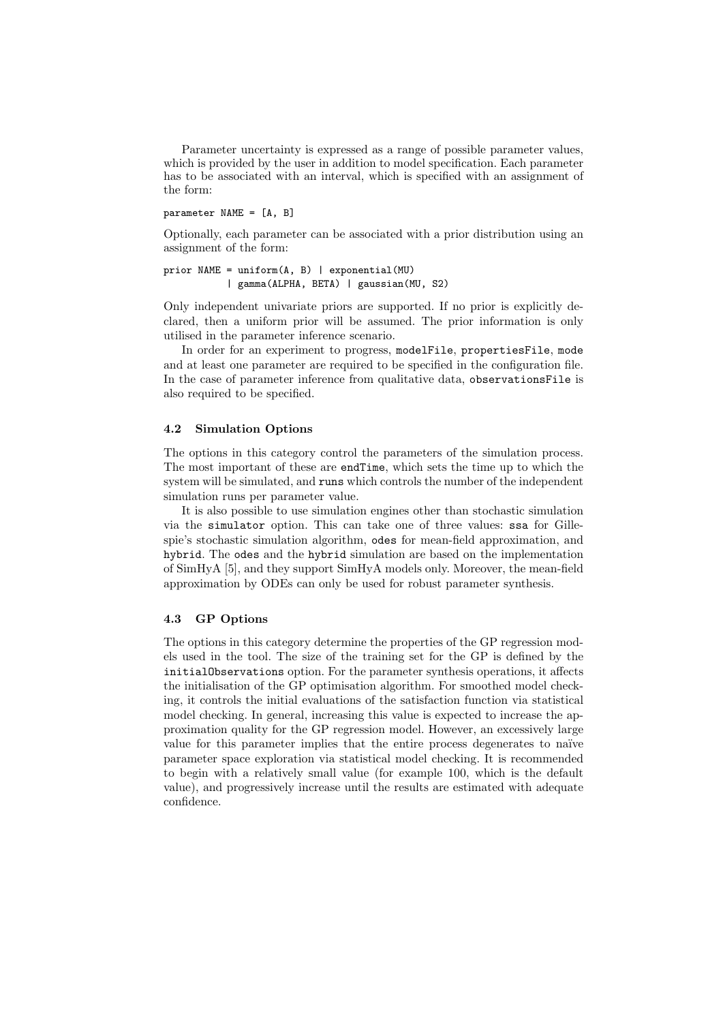Parameter uncertainty is expressed as a range of possible parameter values, which is provided by the user in addition to model specification. Each parameter has to be associated with an interval, which is specified with an assignment of the form:

parameter NAME = [A, B]

Optionally, each parameter can be associated with a prior distribution using an assignment of the form:

```
prior NAME = uniform(A, B) | exponential(MU)
           | gamma(ALPHA, BETA) | gaussian(MU, S2)
```
Only independent univariate priors are supported. If no prior is explicitly declared, then a uniform prior will be assumed. The prior information is only utilised in the parameter inference scenario.

In order for an experiment to progress, modelFile, propertiesFile, mode and at least one parameter are required to be specified in the configuration file. In the case of parameter inference from qualitative data, observationsFile is also required to be specified.

### 4.2 Simulation Options

The options in this category control the parameters of the simulation process. The most important of these are endTime, which sets the time up to which the system will be simulated, and runs which controls the number of the independent simulation runs per parameter value.

It is also possible to use simulation engines other than stochastic simulation via the simulator option. This can take one of three values: ssa for Gillespie's stochastic simulation algorithm, odes for mean-field approximation, and hybrid. The odes and the hybrid simulation are based on the implementation of SimHyA [\[5\]](#page-15-15), and they support SimHyA models only. Moreover, the mean-field approximation by ODEs can only be used for robust parameter synthesis.

# 4.3 GP Options

The options in this category determine the properties of the GP regression models used in the tool. The size of the training set for the GP is defined by the initialObservations option. For the parameter synthesis operations, it affects the initialisation of the GP optimisation algorithm. For smoothed model checking, it controls the initial evaluations of the satisfaction function via statistical model checking. In general, increasing this value is expected to increase the approximation quality for the GP regression model. However, an excessively large value for this parameter implies that the entire process degenerates to naïve parameter space exploration via statistical model checking. It is recommended to begin with a relatively small value (for example 100, which is the default value), and progressively increase until the results are estimated with adequate confidence.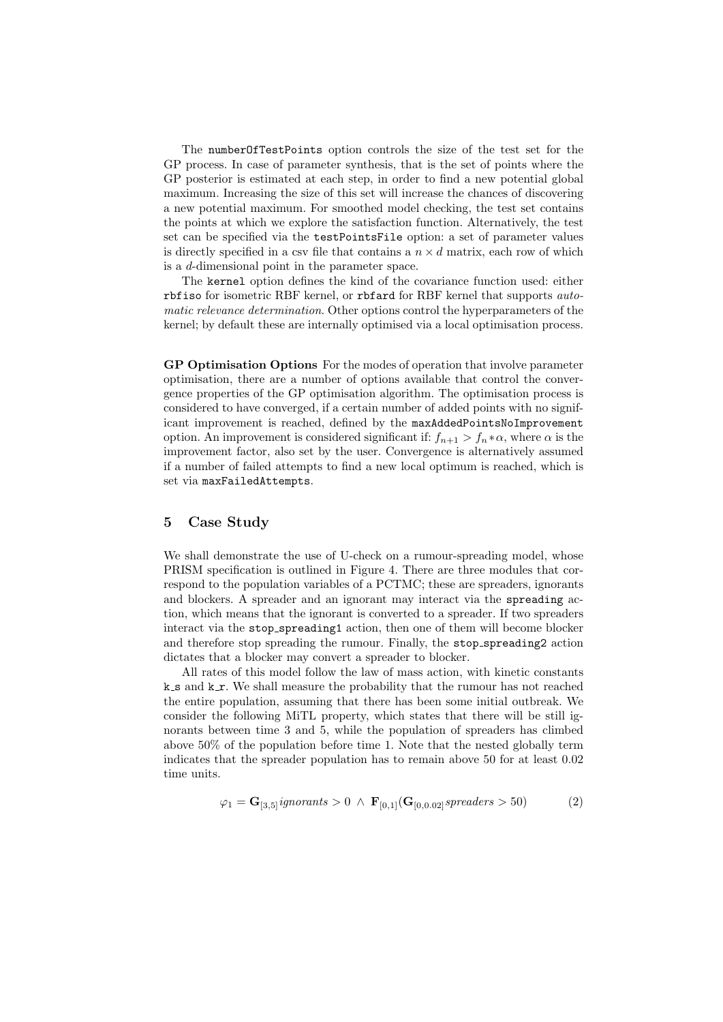The numberOfTestPoints option controls the size of the test set for the GP process. In case of parameter synthesis, that is the set of points where the GP posterior is estimated at each step, in order to find a new potential global maximum. Increasing the size of this set will increase the chances of discovering a new potential maximum. For smoothed model checking, the test set contains the points at which we explore the satisfaction function. Alternatively, the test set can be specified via the testPointsFile option: a set of parameter values is directly specified in a csy file that contains a  $n \times d$  matrix, each row of which is a *d*-dimensional point in the parameter space.

The kernel option defines the kind of the covariance function used: either rbfiso for isometric RBF kernel, or rbfard for RBF kernel that supports *automatic relevance determination*. Other options control the hyperparameters of the kernel; by default these are internally optimised via a local optimisation process.

GP Optimisation Options For the modes of operation that involve parameter optimisation, there are a number of options available that control the convergence properties of the GP optimisation algorithm. The optimisation process is considered to have converged, if a certain number of added points with no significant improvement is reached, defined by the maxAddedPointsNoImprovement option. An improvement is considered significant if:  $f_{n+1} > f_n * \alpha$ , where  $\alpha$  is the improvement factor, also set by the user. Convergence is alternatively assumed if a number of failed attempts to find a new local optimum is reached, which is set via maxFailedAttempts.

## 5 Case Study

We shall demonstrate the use of U-check on a rumour-spreading model, whose PRISM specification is outlined in Figure [4.](#page-11-0) There are three modules that correspond to the population variables of a PCTMC; these are spreaders, ignorants and blockers. A spreader and an ignorant may interact via the spreading action, which means that the ignorant is converted to a spreader. If two spreaders interact via the stop\_spreading1 action, then one of them will become blocker and therefore stop spreading the rumour. Finally, the stop\_spreading2 action dictates that a blocker may convert a spreader to blocker.

All rates of this model follow the law of mass action, with kinetic constants k s and k r. We shall measure the probability that the rumour has not reached the entire population, assuming that there has been some initial outbreak. We consider the following MiTL property, which states that there will be still ignorants between time 3 and 5, while the population of spreaders has climbed above 50% of the population before time 1. Note that the nested globally term indicates that the spreader population has to remain above 50 for at least 0.02 time units.

<span id="page-10-0"></span>
$$
\varphi_1 = \mathbf{G}_{[3,5]} \text{ignorants} > 0 \ \land \ \mathbf{F}_{[0,1]}(\mathbf{G}_{[0,0.02]} \text{spreaders} > 50) \tag{2}
$$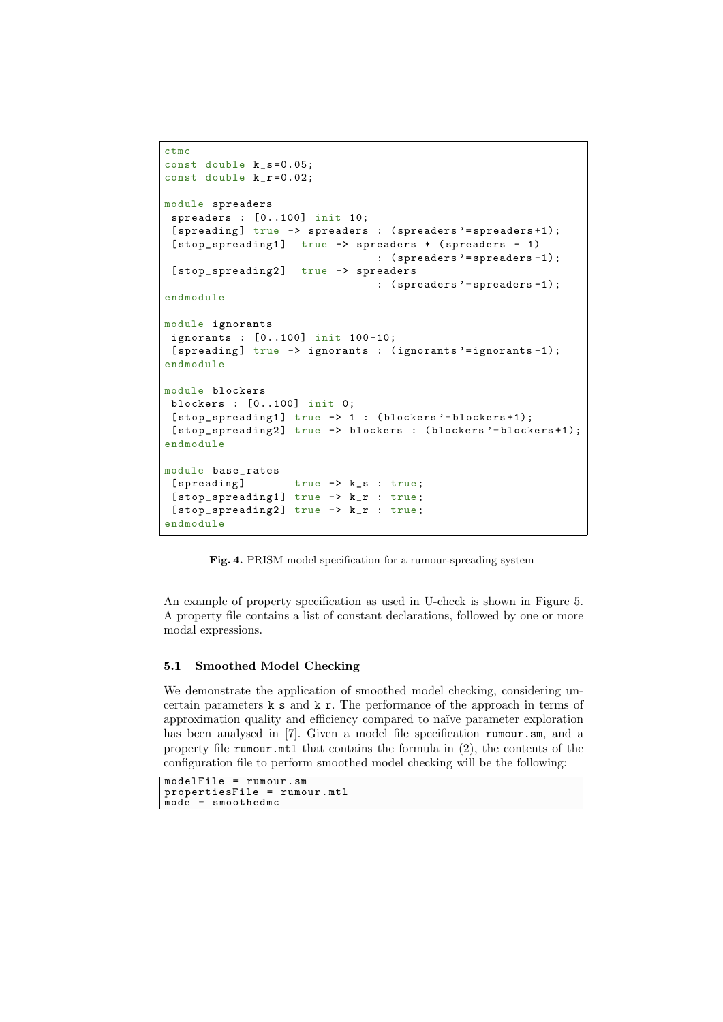```
ctmc
const double k s=0.05;
const double k_r=0.02;
module spreaders
 spreaders : [0..100] init 10;
 [spreading] true -> spreaders : (spreaders '=spreaders+1);
 [stop_spreading1] true -> spreaders * (spreaders - 1)
                               : (spreaders '=spreaders -1);
 [stop_spreading2] true -> spreaders
                                : (spreaders '=spreaders -1);
endmodule
module ignorants
ignorants : [0..100] init 100-10;
[spreading] true -> ignorants : (ignorants '=ignorants -1);
endmodule
module blockers
blockers : [0..100] init 0;
 [stop_spreading1] true -> 1 : (blockers '=blockers +1);
 [stop_spreading2] true -> blockers : (blockers '=blockers +1);
endmodule
module base_rates
 [spreading] true -> k_s : true;
 [stop_spreading1] true -> k_r : true;
 [stop_spreading2] true -> k_r : true;
endmodule
```
<span id="page-11-0"></span>Fig. 4. PRISM model specification for a rumour-spreading system

An example of property specification as used in U-check is shown in Figure [5.](#page-12-0) A property file contains a list of constant declarations, followed by one or more modal expressions.

### 5.1 Smoothed Model Checking

We demonstrate the application of smoothed model checking, considering uncertain parameters  $k_s$  and  $k_r$ . The performance of the approach in terms of approximation quality and efficiency compared to naïve parameter exploration has been analysed in [\[7\]](#page-15-5). Given a model file specification rumour.sm, and a property file rumour.mtl that contains the formula in [\(2\)](#page-10-0), the contents of the configuration file to perform smoothed model checking will be the following:

```
modelFile = rumour.sm
propertiesFile = rumour.mtl
mode = smoothedmc
```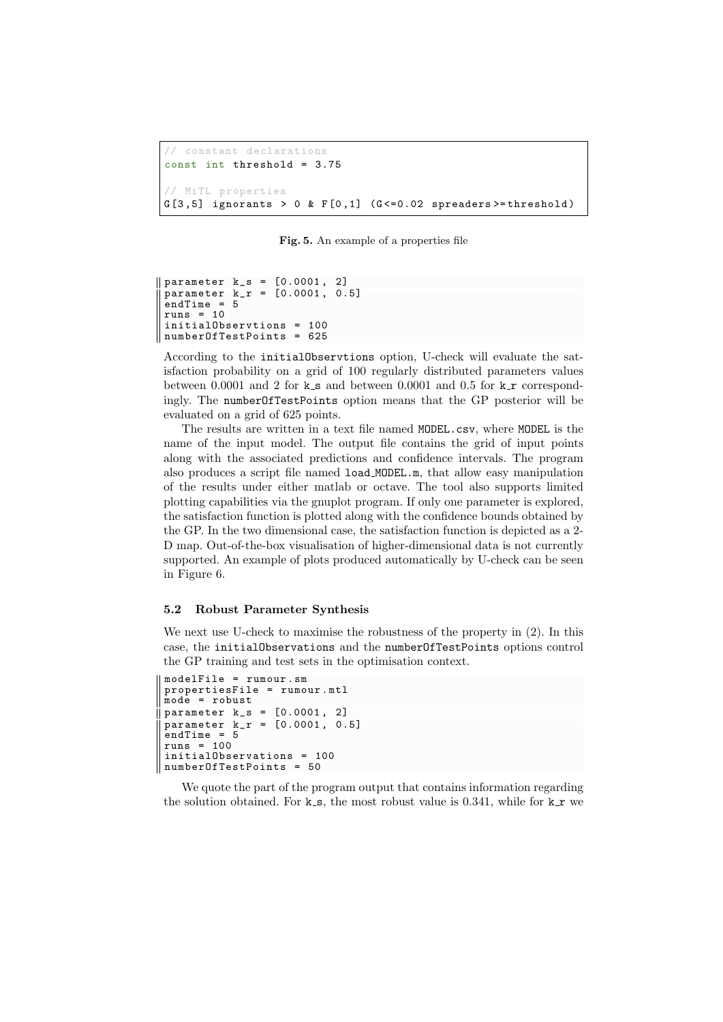```
constant declarations
const int threshold = 3.75
 MiTL properties
G[3,5] ignorants > 0 & F[0,1] (G<=0.02 spreaders>=threshold)
```
Fig. 5. An example of a properties file

```
\| parameter k_s = [0.0001, 2]parameter k_r = [0.0001, 0.5]
 endTime = 5
runs = 10
 initialObservtions = 100
numberOfTestPoints = 625
```
According to the initialObservtions option, U-check will evaluate the satisfaction probability on a grid of 100 regularly distributed parameters values between 0.0001 and 2 for  $k = s$  and between 0.0001 and 0.5 for  $k = r$  correspondingly. The numberOfTestPoints option means that the GP posterior will be evaluated on a grid of 625 points.

The results are written in a text file named MODEL.csv, where MODEL is the name of the input model. The output file contains the grid of input points along with the associated predictions and confidence intervals. The program also produces a script file named load MODEL.m, that allow easy manipulation of the results under either matlab or octave. The tool also supports limited plotting capabilities via the gnuplot program. If only one parameter is explored, the satisfaction function is plotted along with the confidence bounds obtained by the GP. In the two dimensional case, the satisfaction function is depicted as a 2- D map. Out-of-the-box visualisation of higher-dimensional data is not currently supported. An example of plots produced automatically by U-check can be seen in Figure [6.](#page-13-0)

### 5.2 Robust Parameter Synthesis

We next use U-check to maximise the robustness of the property in  $(2)$ . In this case, the initialObservations and the numberOfTestPoints options control the GP training and test sets in the optimisation context.

```
modelFile = rumour.sm
propertiesFile = rumour.mtl
mode = robust
parameter k_s = [0.0001, 2]
parameter k_r = [0.0001, 0.5]
endTime = 5
runs = 100
initialObservations = 100
numberOfTestPoints = 50
```
We quote the part of the program output that contains information regarding the solution obtained. For  $k_s$ , the most robust value is 0.341, while for  $k_r$  we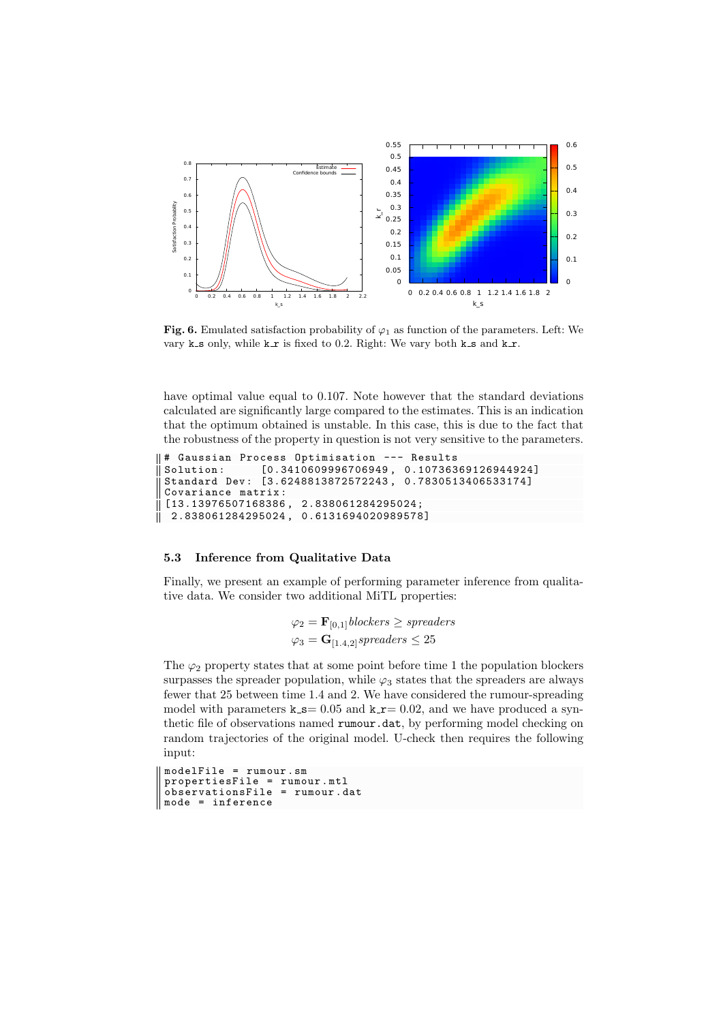

<span id="page-13-0"></span>Fig. 6. Emulated satisfaction probability of  $\varphi_1$  as function of the parameters. Left: We vary  $k_s$  only, while  $k_r$  is fixed to 0.2. Right: We vary both  $k_s$  and  $k_r$ .

have optimal value equal to 0*.*107. Note however that the standard deviations calculated are significantly large compared to the estimates. This is an indication that the optimum obtained is unstable. In this case, this is due to the fact that the robustness of the property in question is not very sensitive to the parameters.

```
# Gaussian Process Optimisation --- Results
                [0.3410609996706949, 0.10736369126944924]Standard Dev: [3.6248813872572243 , 0.7830513406533174]
 Covariance matrix:
 [13.13976507168386, 2.838061284295024;
 2.838061284295024, 0.6131694020989578]
\mathbb{I}
```
### 5.3 Inference from Qualitative Data

Finally, we present an example of performing parameter inference from qualitative data. We consider two additional MiTL properties:

$$
\varphi_2 = \mathbf{F}_{[0,1]} \text{blocks} \geq \text{spreaders}
$$
  

$$
\varphi_3 = \mathbf{G}_{[1.4,2]} \text{spreaders} \leq 25
$$

The  $\varphi_2$  property states that at some point before time 1 the population blockers surpasses the spreader population, while  $\varphi_3$  states that the spreaders are always fewer that 25 between time 1.4 and 2. We have considered the rumour-spreading model with parameters  $k = 0.05$  and  $k = 0.02$ , and we have produced a synthetic file of observations named rumour.dat, by performing model checking on random trajectories of the original model. U-check then requires the following input:

```
modelFile = rumour.sm
 propertiesFile = rumour.mtl
observationsFile = rumour.dat
mode = inference
```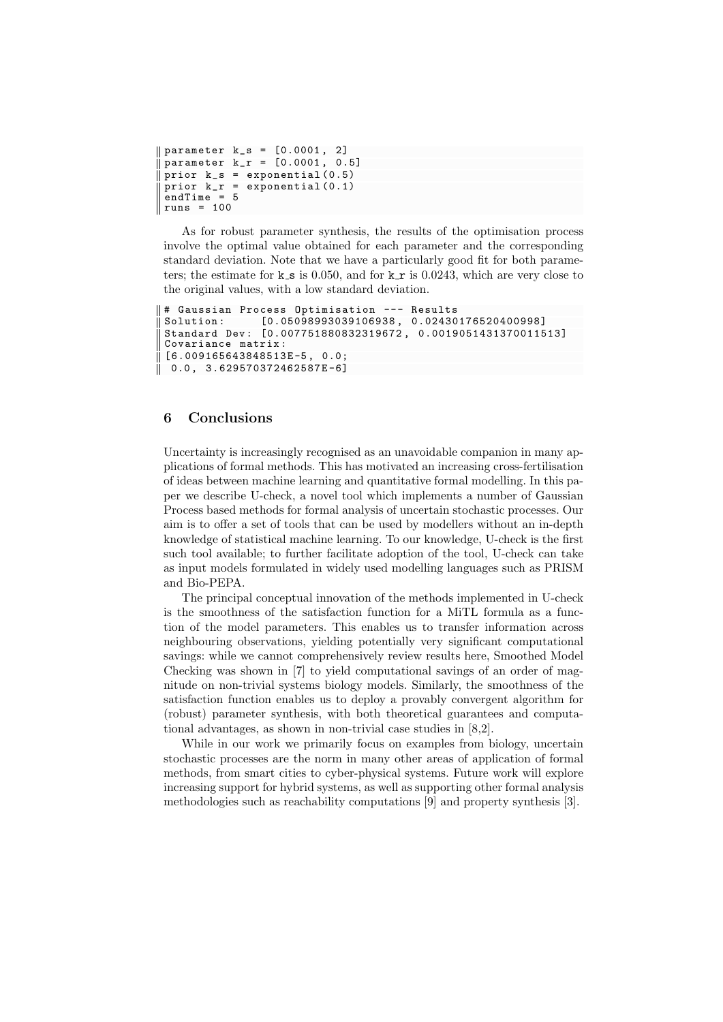```
\| parameter k_s = [0.0001, 2]parameter k_r = [0.0001, 0.5]
\parallel prior k_s = exponential (0.5)
 prior k_r = exponential (0.1)endTime = 5
\parallelruns = 100
```
As for robust parameter synthesis, the results of the optimisation process involve the optimal value obtained for each parameter and the corresponding standard deviation. Note that we have a particularly good fit for both parameters; the estimate for  $k = s$  is 0.050, and for  $k = r$  is 0.0243, which are very close to the original values, with a low standard deviation.

```
| # Gaussian Process Optimisation --- Results
 Solution: [0.05098993039106938, 0.02430176520400998]
 Standard Dev: [0.007751880832319672 , 0.0019051431370011513]
Covariance matrix:
[6.009165643848513E-5, 0.0;
|| 0.0, 3.629570372462587E-6]
```
# 6 Conclusions

Uncertainty is increasingly recognised as an unavoidable companion in many applications of formal methods. This has motivated an increasing cross-fertilisation of ideas between machine learning and quantitative formal modelling. In this paper we describe U-check, a novel tool which implements a number of Gaussian Process based methods for formal analysis of uncertain stochastic processes. Our aim is to offer a set of tools that can be used by modellers without an in-depth knowledge of statistical machine learning. To our knowledge, U-check is the first such tool available; to further facilitate adoption of the tool, U-check can take as input models formulated in widely used modelling languages such as PRISM and Bio-PEPA.

The principal conceptual innovation of the methods implemented in U-check is the smoothness of the satisfaction function for a MiTL formula as a function of the model parameters. This enables us to transfer information across neighbouring observations, yielding potentially very significant computational savings: while we cannot comprehensively review results here, Smoothed Model Checking was shown in [\[7\]](#page-15-5) to yield computational savings of an order of magnitude on non-trivial systems biology models. Similarly, the smoothness of the satisfaction function enables us to deploy a provably convergent algorithm for (robust) parameter synthesis, with both theoretical guarantees and computational advantages, as shown in non-trivial case studies in [\[8,](#page-15-3)[2\]](#page-15-9).

While in our work we primarily focus on examples from biology, uncertain stochastic processes are the norm in many other areas of application of formal methods, from smart cities to cyber-physical systems. Future work will explore increasing support for hybrid systems, as well as supporting other formal analysis methodologies such as reachability computations [\[9\]](#page-15-6) and property synthesis [\[3\]](#page-15-10).